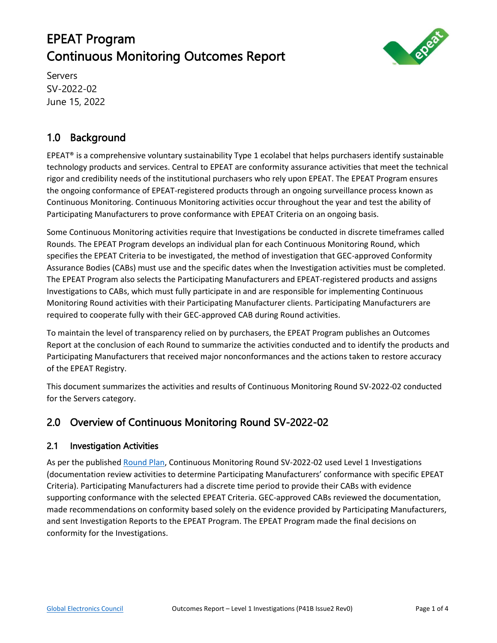# EPEAT Program Continuous Monitoring Outcomes Report



Servers SV-2022-02 June 15, 2022

# 1.0 Background

EPEAT® is a comprehensive voluntary sustainability Type 1 ecolabel that helps purchasers identify sustainable technology products and services. Central to EPEAT are conformity assurance activities that meet the technical rigor and credibility needs of the institutional purchasers who rely upon EPEAT. The EPEAT Program ensures the ongoing conformance of EPEAT-registered products through an ongoing surveillance process known as Continuous Monitoring. Continuous Monitoring activities occur throughout the year and test the ability of Participating Manufacturers to prove conformance with EPEAT Criteria on an ongoing basis.

Some Continuous Monitoring activities require that Investigations be conducted in discrete timeframes called Rounds. The EPEAT Program develops an individual plan for each Continuous Monitoring Round, which specifies the EPEAT Criteria to be investigated, the method of investigation that GEC-approved Conformity Assurance Bodies (CABs) must use and the specific dates when the Investigation activities must be completed. The EPEAT Program also selects the Participating Manufacturers and EPEAT-registered products and assigns Investigations to CABs, which must fully participate in and are responsible for implementing Continuous Monitoring Round activities with their Participating Manufacturer clients. Participating Manufacturers are required to cooperate fully with their GEC-approved CAB during Round activities.

To maintain the level of transparency relied on by purchasers, the EPEAT Program publishes an Outcomes Report at the conclusion of each Round to summarize the activities conducted and to identify the products and Participating Manufacturers that received major nonconformances and the actions taken to restore accuracy of the EPEAT Registry.

This document summarizes the activities and results of Continuous Monitoring Round SV-2022-02 conducted for the Servers category.

## 2.0 Overview of Continuous Monitoring Round SV-2022-02

#### 2.1 Investigation Activities

As per the published [Round Plan,](https://globalelectronicscouncil.org/wp-content/uploads/SV-2022-02-Continuous-Monitoring-Round-Plan-FINAL.pdf) Continuous Monitoring Round SV-2022-02 used Level 1 Investigations (documentation review activities to determine Participating Manufacturers' conformance with specific EPEAT Criteria). Participating Manufacturers had a discrete time period to provide their CABs with evidence supporting conformance with the selected EPEAT Criteria. GEC-approved CABs reviewed the documentation, made recommendations on conformity based solely on the evidence provided by Participating Manufacturers, and sent Investigation Reports to the EPEAT Program. The EPEAT Program made the final decisions on conformity for the Investigations.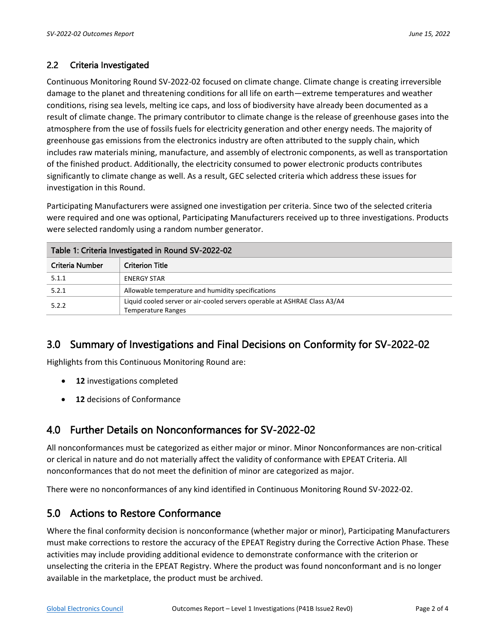#### 2.2 Criteria Investigated

Continuous Monitoring Round SV-2022-02 focused on climate change. Climate change is creating irreversible damage to the planet and threatening conditions for all life on earth—extreme temperatures and weather conditions, rising sea levels, melting ice caps, and loss of biodiversity have already been documented as a result of climate change. The primary contributor to climate change is the release of greenhouse gases into the atmosphere from the use of fossils fuels for electricity generation and other energy needs. The majority of greenhouse gas emissions from the electronics industry are often attributed to the supply chain, which includes raw materials mining, manufacture, and assembly of electronic components, as well as transportation of the finished product. Additionally, the electricity consumed to power electronic products contributes significantly to climate change as well. As a result, GEC selected criteria which address these issues for investigation in this Round.

Participating Manufacturers were assigned one investigation per criteria. Since two of the selected criteria were required and one was optional, Participating Manufacturers received up to three investigations. Products were selected randomly using a random number generator.

| Table 1: Criteria Investigated in Round SV-2022-02                                                              |                                                   |  |  |  |  |
|-----------------------------------------------------------------------------------------------------------------|---------------------------------------------------|--|--|--|--|
| Criteria Number                                                                                                 | <b>Criterion Title</b>                            |  |  |  |  |
| 5.1.1                                                                                                           | <b>ENERGY STAR</b>                                |  |  |  |  |
| 5.2.1                                                                                                           | Allowable temperature and humidity specifications |  |  |  |  |
| Liquid cooled server or air-cooled servers operable at ASHRAE Class A3/A4<br>5.2.2<br><b>Temperature Ranges</b> |                                                   |  |  |  |  |

### 3.0 Summary of Investigations and Final Decisions on Conformity for SV-2022-02

Highlights from this Continuous Monitoring Round are:

- **12** investigations completed
- **12** decisions of Conformance

### 4.0 Further Details on Nonconformances for SV-2022-02

All nonconformances must be categorized as either major or minor. Minor Nonconformances are non-critical or clerical in nature and do not materially affect the validity of conformance with EPEAT Criteria. All nonconformances that do not meet the definition of minor are categorized as major.

There were no nonconformances of any kind identified in Continuous Monitoring Round SV-2022-02.

### 5.0 Actions to Restore Conformance

Where the final conformity decision is nonconformance (whether major or minor), Participating Manufacturers must make corrections to restore the accuracy of the EPEAT Registry during the Corrective Action Phase. These activities may include providing additional evidence to demonstrate conformance with the criterion or unselecting the criteria in the EPEAT Registry. Where the product was found nonconformant and is no longer available in the marketplace, the product must be archived.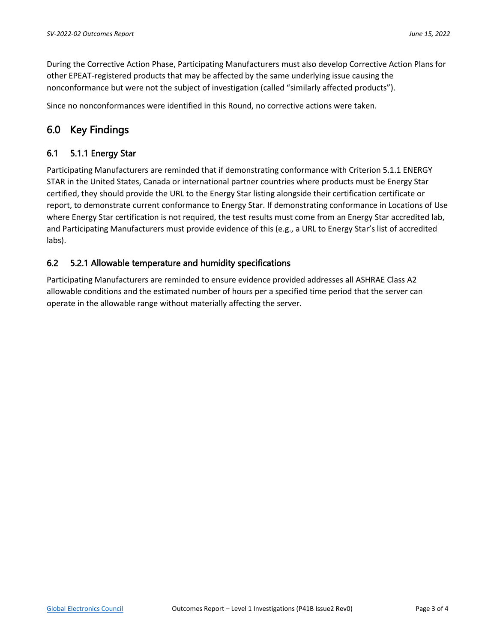During the Corrective Action Phase, Participating Manufacturers must also develop Corrective Action Plans for other EPEAT-registered products that may be affected by the same underlying issue causing the nonconformance but were not the subject of investigation (called "similarly affected products").

Since no nonconformances were identified in this Round, no corrective actions were taken.

### 6.0 Key Findings

#### 6.1 5.1.1 Energy Star

Participating Manufacturers are reminded that if demonstrating conformance with Criterion 5.1.1 ENERGY STAR in the United States, Canada or international partner countries where products must be Energy Star certified, they should provide the URL to the Energy Star listing alongside their certification certificate or report, to demonstrate current conformance to Energy Star. If demonstrating conformance in Locations of Use where Energy Star certification is not required, the test results must come from an Energy Star accredited lab, and Participating Manufacturers must provide evidence of this (e.g., a URL to Energy Star's list of accredited labs).

#### 6.2 5.2.1 Allowable temperature and humidity specifications

Participating Manufacturers are reminded to ensure evidence provided addresses all ASHRAE Class A2 allowable conditions and the estimated number of hours per a specified time period that the server can operate in the allowable range without materially affecting the server.